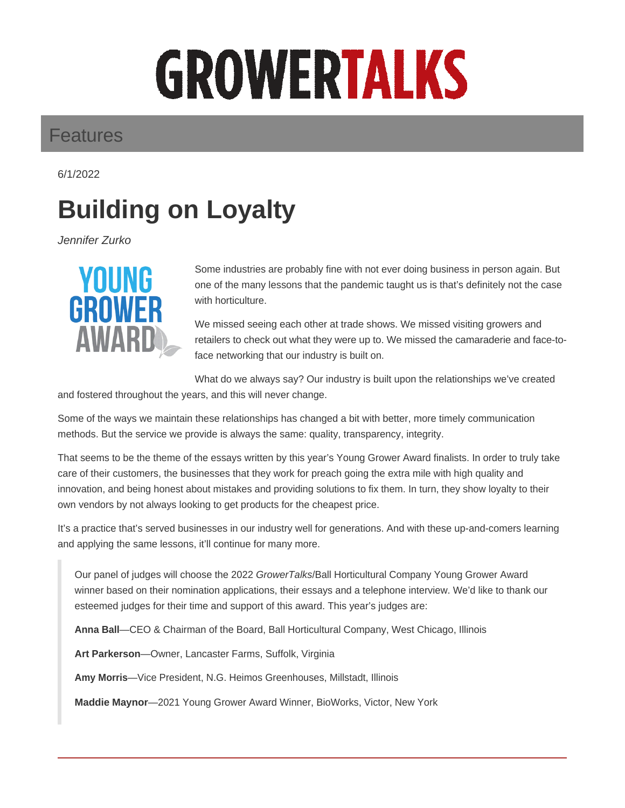# GROWERTALKS

#### Features

6/1/2022

## **Building on Loyalty**

Jennifer Zurko



Some industries are probably fine with not ever doing business in person again. But one of the many lessons that the pandemic taught us is that's definitely not the case with horticulture.

We missed seeing each other at trade shows. We missed visiting growers and retailers to check out what they were up to. We missed the camaraderie and face-toface networking that our industry is built on.

What do we always say? Our industry is built upon the relationships we've created

and fostered throughout the years, and this will never change.

Some of the ways we maintain these relationships has changed a bit with better, more timely communication methods. But the service we provide is always the same: quality, transparency, integrity.

That seems to be the theme of the essays written by this year's Young Grower Award finalists. In order to truly take care of their customers, the businesses that they work for preach going the extra mile with high quality and innovation, and being honest about mistakes and providing solutions to fix them. In turn, they show loyalty to their own vendors by not always looking to get products for the cheapest price.

It's a practice that's served businesses in our industry well for generations. And with these up-and-comers learning and applying the same lessons, it'll continue for many more.

Our panel of judges will choose the 2022 GrowerTalks/Ball Horticultural Company Young Grower Award winner based on their nomination applications, their essays and a telephone interview. We'd like to thank our esteemed judges for their time and support of this award. This year's judges are:

**Anna Ball**—CEO & Chairman of the Board, Ball Horticultural Company, West Chicago, Illinois

**Art Parkerson**—Owner, Lancaster Farms, Suffolk, Virginia

**Amy Morris**—Vice President, N.G. Heimos Greenhouses, Millstadt, Illinois

**Maddie Maynor**—2021 Young Grower Award Winner, BioWorks, Victor, New York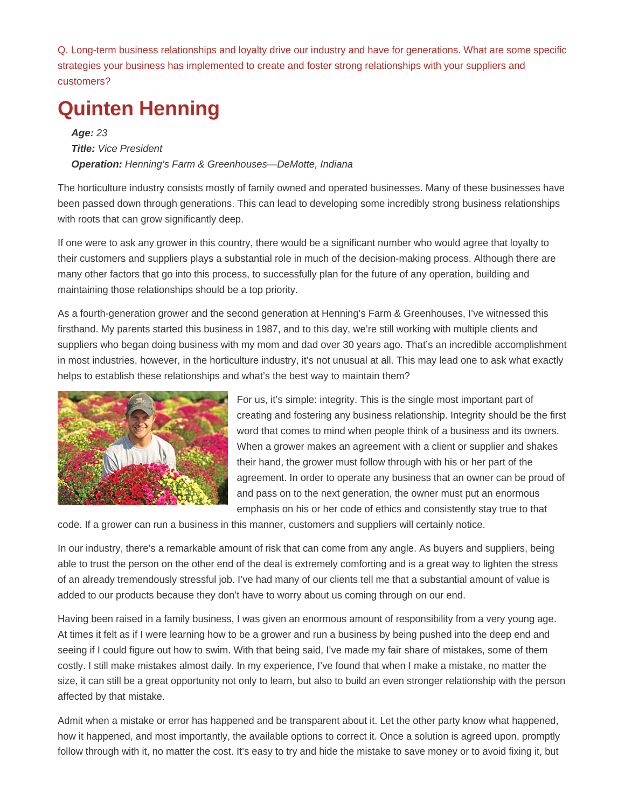Q. Long-term business relationships and loyalty drive our industry and have for generations. What are some specific strategies your business has implemented to create and foster strong relationships with your suppliers and customers?

### **Quinten Henning**

**Age:** 23 **Title:** Vice President **Operation:** Henning's Farm & Greenhouses—DeMotte, Indiana

The horticulture industry consists mostly of family owned and operated businesses. Many of these businesses have been passed down through generations. This can lead to developing some incredibly strong business relationships with roots that can grow significantly deep.

If one were to ask any grower in this country, there would be a significant number who would agree that loyalty to their customers and suppliers plays a substantial role in much of the decision-making process. Although there are many other factors that go into this process, to successfully plan for the future of any operation, building and maintaining those relationships should be a top priority.

As a fourth-generation grower and the second generation at Henning's Farm & Greenhouses, I've witnessed this firsthand. My parents started this business in 1987, and to this day, we're still working with multiple clients and suppliers who began doing business with my mom and dad over 30 years ago. That's an incredible accomplishment in most industries, however, in the horticulture industry, it's not unusual at all. This may lead one to ask what exactly helps to establish these relationships and what's the best way to maintain them?



For us, it's simple: integrity. This is the single most important part of creating and fostering any business relationship. Integrity should be the first word that comes to mind when people think of a business and its owners. When a grower makes an agreement with a client or supplier and shakes their hand, the grower must follow through with his or her part of the agreement. In order to operate any business that an owner can be proud of and pass on to the next generation, the owner must put an enormous emphasis on his or her code of ethics and consistently stay true to that

code. If a grower can run a business in this manner, customers and suppliers will certainly notice.

In our industry, there's a remarkable amount of risk that can come from any angle. As buyers and suppliers, being able to trust the person on the other end of the deal is extremely comforting and is a great way to lighten the stress of an already tremendously stressful job. I've had many of our clients tell me that a substantial amount of value is added to our products because they don't have to worry about us coming through on our end.

Having been raised in a family business, I was given an enormous amount of responsibility from a very young age. At times it felt as if I were learning how to be a grower and run a business by being pushed into the deep end and seeing if I could figure out how to swim. With that being said, I've made my fair share of mistakes, some of them costly. I still make mistakes almost daily. In my experience, I've found that when I make a mistake, no matter the size, it can still be a great opportunity not only to learn, but also to build an even stronger relationship with the person affected by that mistake.

Admit when a mistake or error has happened and be transparent about it. Let the other party know what happened, how it happened, and most importantly, the available options to correct it. Once a solution is agreed upon, promptly follow through with it, no matter the cost. It's easy to try and hide the mistake to save money or to avoid fixing it, but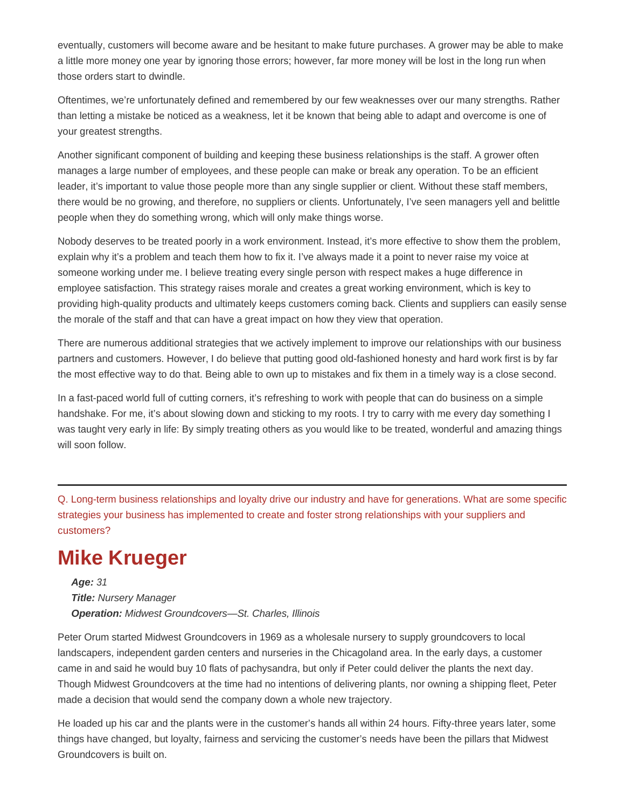eventually, customers will become aware and be hesitant to make future purchases. A grower may be able to make a little more money one year by ignoring those errors; however, far more money will be lost in the long run when those orders start to dwindle.

Oftentimes, we're unfortunately defined and remembered by our few weaknesses over our many strengths. Rather than letting a mistake be noticed as a weakness, let it be known that being able to adapt and overcome is one of your greatest strengths.

Another significant component of building and keeping these business relationships is the staff. A grower often manages a large number of employees, and these people can make or break any operation. To be an efficient leader, it's important to value those people more than any single supplier or client. Without these staff members, there would be no growing, and therefore, no suppliers or clients. Unfortunately, I've seen managers yell and belittle people when they do something wrong, which will only make things worse.

Nobody deserves to be treated poorly in a work environment. Instead, it's more effective to show them the problem, explain why it's a problem and teach them how to fix it. I've always made it a point to never raise my voice at someone working under me. I believe treating every single person with respect makes a huge difference in employee satisfaction. This strategy raises morale and creates a great working environment, which is key to providing high-quality products and ultimately keeps customers coming back. Clients and suppliers can easily sense the morale of the staff and that can have a great impact on how they view that operation.

There are numerous additional strategies that we actively implement to improve our relationships with our business partners and customers. However, I do believe that putting good old-fashioned honesty and hard work first is by far the most effective way to do that. Being able to own up to mistakes and fix them in a timely way is a close second.

In a fast-paced world full of cutting corners, it's refreshing to work with people that can do business on a simple handshake. For me, it's about slowing down and sticking to my roots. I try to carry with me every day something I was taught very early in life: By simply treating others as you would like to be treated, wonderful and amazing things will soon follow.

Q. Long-term business relationships and loyalty drive our industry and have for generations. What are some specific strategies your business has implemented to create and foster strong relationships with your suppliers and customers?

#### **Mike Krueger**

**Age:** 31 **Title:** Nursery Manager **Operation:** Midwest Groundcovers—St. Charles, Illinois

Peter Orum started Midwest Groundcovers in 1969 as a wholesale nursery to supply groundcovers to local landscapers, independent garden centers and nurseries in the Chicagoland area. In the early days, a customer came in and said he would buy 10 flats of pachysandra, but only if Peter could deliver the plants the next day. Though Midwest Groundcovers at the time had no intentions of delivering plants, nor owning a shipping fleet, Peter made a decision that would send the company down a whole new trajectory.

He loaded up his car and the plants were in the customer's hands all within 24 hours. Fifty-three years later, some things have changed, but loyalty, fairness and servicing the customer's needs have been the pillars that Midwest Groundcovers is built on.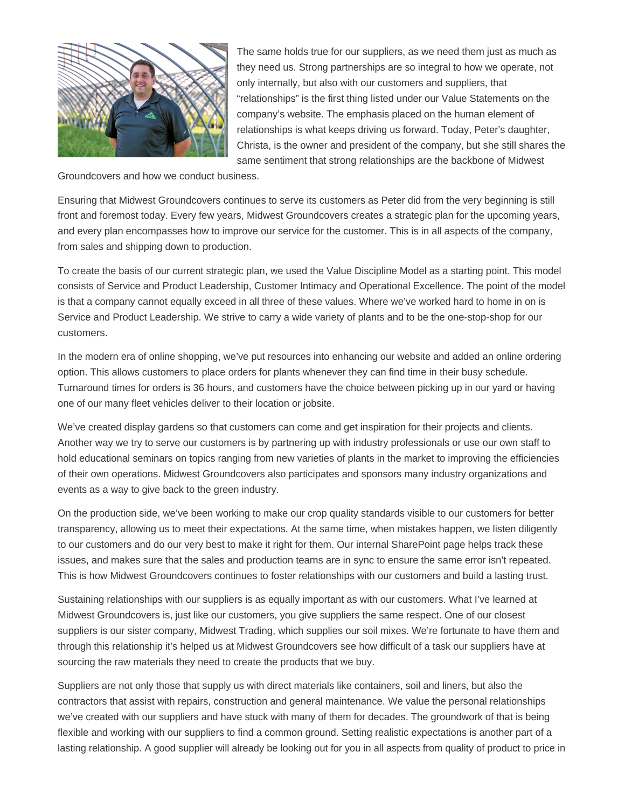

The same holds true for our suppliers, as we need them just as much as they need us. Strong partnerships are so integral to how we operate, not only internally, but also with our customers and suppliers, that "relationships" is the first thing listed under our Value Statements on the company's website. The emphasis placed on the human element of relationships is what keeps driving us forward. Today, Peter's daughter, Christa, is the owner and president of the company, but she still shares the same sentiment that strong relationships are the backbone of Midwest

Groundcovers and how we conduct business.

Ensuring that Midwest Groundcovers continues to serve its customers as Peter did from the very beginning is still front and foremost today. Every few years, Midwest Groundcovers creates a strategic plan for the upcoming years, and every plan encompasses how to improve our service for the customer. This is in all aspects of the company, from sales and shipping down to production.

To create the basis of our current strategic plan, we used the Value Discipline Model as a starting point. This model consists of Service and Product Leadership, Customer Intimacy and Operational Excellence. The point of the model is that a company cannot equally exceed in all three of these values. Where we've worked hard to home in on is Service and Product Leadership. We strive to carry a wide variety of plants and to be the one-stop-shop for our customers.

In the modern era of online shopping, we've put resources into enhancing our website and added an online ordering option. This allows customers to place orders for plants whenever they can find time in their busy schedule. Turnaround times for orders is 36 hours, and customers have the choice between picking up in our yard or having one of our many fleet vehicles deliver to their location or jobsite.

We've created display gardens so that customers can come and get inspiration for their projects and clients. Another way we try to serve our customers is by partnering up with industry professionals or use our own staff to hold educational seminars on topics ranging from new varieties of plants in the market to improving the efficiencies of their own operations. Midwest Groundcovers also participates and sponsors many industry organizations and events as a way to give back to the green industry.

On the production side, we've been working to make our crop quality standards visible to our customers for better transparency, allowing us to meet their expectations. At the same time, when mistakes happen, we listen diligently to our customers and do our very best to make it right for them. Our internal SharePoint page helps track these issues, and makes sure that the sales and production teams are in sync to ensure the same error isn't repeated. This is how Midwest Groundcovers continues to foster relationships with our customers and build a lasting trust.

Sustaining relationships with our suppliers is as equally important as with our customers. What I've learned at Midwest Groundcovers is, just like our customers, you give suppliers the same respect. One of our closest suppliers is our sister company, Midwest Trading, which supplies our soil mixes. We're fortunate to have them and through this relationship it's helped us at Midwest Groundcovers see how difficult of a task our suppliers have at sourcing the raw materials they need to create the products that we buy.

Suppliers are not only those that supply us with direct materials like containers, soil and liners, but also the contractors that assist with repairs, construction and general maintenance. We value the personal relationships we've created with our suppliers and have stuck with many of them for decades. The groundwork of that is being flexible and working with our suppliers to find a common ground. Setting realistic expectations is another part of a lasting relationship. A good supplier will already be looking out for you in all aspects from quality of product to price in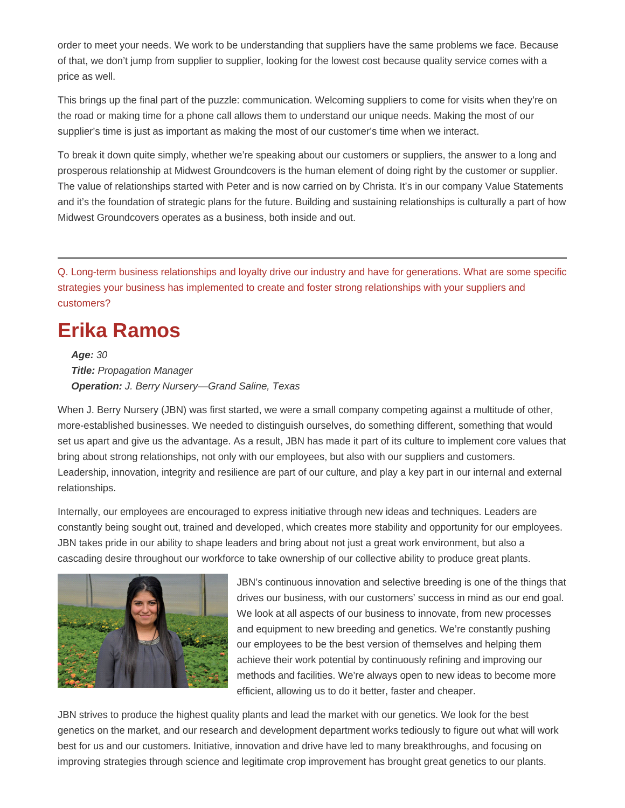order to meet your needs. We work to be understanding that suppliers have the same problems we face. Because of that, we don't jump from supplier to supplier, looking for the lowest cost because quality service comes with a price as well.

This brings up the final part of the puzzle: communication. Welcoming suppliers to come for visits when they're on the road or making time for a phone call allows them to understand our unique needs. Making the most of our supplier's time is just as important as making the most of our customer's time when we interact.

To break it down quite simply, whether we're speaking about our customers or suppliers, the answer to a long and prosperous relationship at Midwest Groundcovers is the human element of doing right by the customer or supplier. The value of relationships started with Peter and is now carried on by Christa. It's in our company Value Statements and it's the foundation of strategic plans for the future. Building and sustaining relationships is culturally a part of how Midwest Groundcovers operates as a business, both inside and out.

Q. Long-term business relationships and loyalty drive our industry and have for generations. What are some specific strategies your business has implemented to create and foster strong relationships with your suppliers and customers?

#### **Erika Ramos**

**Age:** 30 **Title:** Propagation Manager **Operation:** J. Berry Nursery—Grand Saline, Texas

When J. Berry Nursery (JBN) was first started, we were a small company competing against a multitude of other, more-established businesses. We needed to distinguish ourselves, do something different, something that would set us apart and give us the advantage. As a result, JBN has made it part of its culture to implement core values that bring about strong relationships, not only with our employees, but also with our suppliers and customers. Leadership, innovation, integrity and resilience are part of our culture, and play a key part in our internal and external relationships.

Internally, our employees are encouraged to express initiative through new ideas and techniques. Leaders are constantly being sought out, trained and developed, which creates more stability and opportunity for our employees. JBN takes pride in our ability to shape leaders and bring about not just a great work environment, but also a cascading desire throughout our workforce to take ownership of our collective ability to produce great plants.



JBN's continuous innovation and selective breeding is one of the things that drives our business, with our customers' success in mind as our end goal. We look at all aspects of our business to innovate, from new processes and equipment to new breeding and genetics. We're constantly pushing our employees to be the best version of themselves and helping them achieve their work potential by continuously refining and improving our methods and facilities. We're always open to new ideas to become more efficient, allowing us to do it better, faster and cheaper.

JBN strives to produce the highest quality plants and lead the market with our genetics. We look for the best genetics on the market, and our research and development department works tediously to figure out what will work best for us and our customers. Initiative, innovation and drive have led to many breakthroughs, and focusing on improving strategies through science and legitimate crop improvement has brought great genetics to our plants.